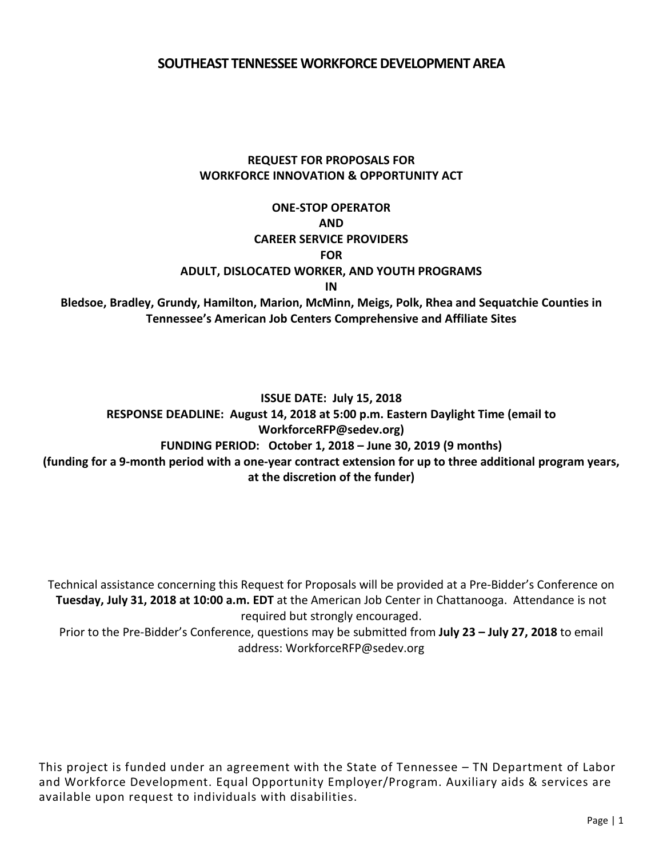#### **SOUTHEAST TENNESSEE WORKFORCE DEVELOPMENT AREA**

### **REQUEST FOR PROPOSALS FOR WORKFORCE INNOVATION & OPPORTUNITY ACT**

### **ONE-STOP OPERATOR AND CAREER SERVICE PROVIDERS FOR ADULT, DISLOCATED WORKER, AND YOUTH PROGRAMS IN**

**Bledsoe, Bradley, Grundy, Hamilton, Marion, McMinn, Meigs, Polk, Rhea and Sequatchie Counties in Tennessee's American Job Centers Comprehensive and Affiliate Sites**

**ISSUE DATE: July 15, 2018 RESPONSE DEADLINE: August 14, 2018 at 5:00 p.m. Eastern Daylight Time (email to WorkforceRFP@sedev.org) FUNDING PERIOD: October 1, 2018 – June 30, 2019 (9 months)** (funding for a 9-month period with a one-year contract extension for up to three additional program years, **at the discretion of the funder)**

Technical assistance concerning this Request for Proposals will be provided at a Pre-Bidder's Conference on **Tuesday, July 31, 2018 at 10:00 a.m. EDT** at the American Job Center in Chattanooga. Attendance is not required but strongly encouraged.

Prior to the Pre-Bidder's Conference, questions may be submitted from **July 23 – July 27, 2018** to email address: WorkforceRFP@sedev.org

This project is funded under an agreement with the State of Tennessee – TN Department of Labor and Workforce Development. Equal Opportunity Employer/Program. Auxiliary aids & services are available upon request to individuals with disabilities.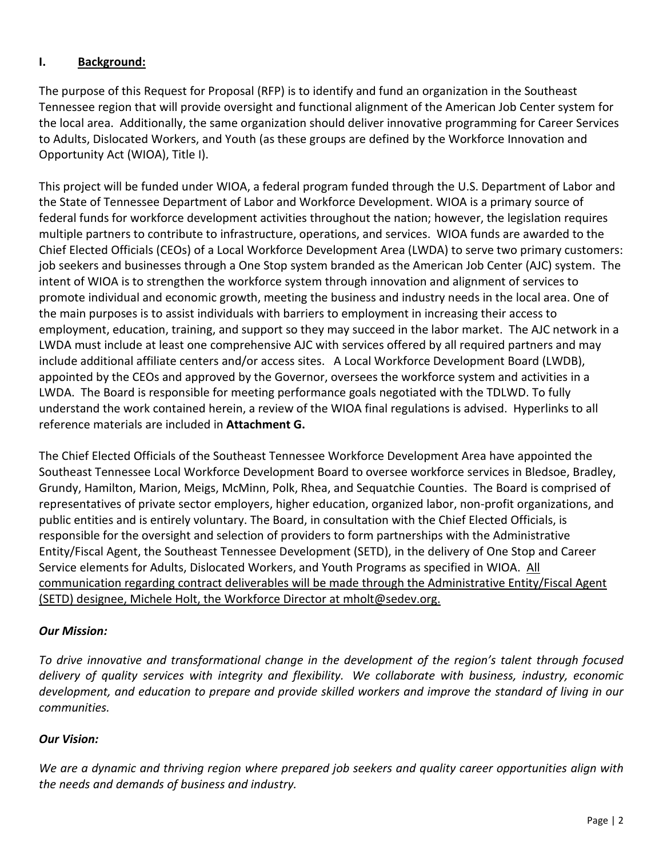### **I. Background:**

The purpose of this Request for Proposal (RFP) is to identify and fund an organization in the Southeast Tennessee region that will provide oversight and functional alignment of the American Job Center system for the local area. Additionally, the same organization should deliver innovative programming for Career Services to Adults, Dislocated Workers, and Youth (as these groups are defined by the Workforce Innovation and Opportunity Act (WIOA), Title I).

This project will be funded under WIOA, a federal program funded through the U.S. Department of Labor and the State of Tennessee Department of Labor and Workforce Development. WIOA is a primary source of federal funds for workforce development activities throughout the nation; however, the legislation requires multiple partners to contribute to infrastructure, operations, and services. WIOA funds are awarded to the Chief Elected Officials (CEOs) of a Local Workforce Development Area (LWDA) to serve two primary customers: job seekers and businesses through a One Stop system branded as the American Job Center (AJC) system. The intent of WIOA is to strengthen the workforce system through innovation and alignment of services to promote individual and economic growth, meeting the business and industry needs in the local area. One of the main purposes is to assist individuals with barriers to employment in increasing their access to employment, education, training, and support so they may succeed in the labor market. The AJC network in a LWDA must include at least one comprehensive AJC with services offered by all required partners and may include additional affiliate centers and/or access sites. A Local Workforce Development Board (LWDB), appointed by the CEOs and approved by the Governor, oversees the workforce system and activities in a LWDA. The Board is responsible for meeting performance goals negotiated with the TDLWD. To fully understand the work contained herein, a review of the WIOA final regulations is advised. Hyperlinks to all reference materials are included in **Attachment G.**

The Chief Elected Officials of the Southeast Tennessee Workforce Development Area have appointed the Southeast Tennessee Local Workforce Development Board to oversee workforce services in Bledsoe, Bradley, Grundy, Hamilton, Marion, Meigs, McMinn, Polk, Rhea, and Sequatchie Counties. The Board is comprised of representatives of private sector employers, higher education, organized labor, non-profit organizations, and public entities and is entirely voluntary. The Board, in consultation with the Chief Elected Officials, is responsible for the oversight and selection of providers to form partnerships with the Administrative Entity/Fiscal Agent, the Southeast Tennessee Development (SETD), in the delivery of One Stop and Career Service elements for Adults, Dislocated Workers, and Youth Programs as specified in WIOA. All communication regarding contract deliverables will be made through the Administrative Entity/Fiscal Agent (SETD) designee, Michele Holt, the Workforce Director at mhol[t@sedev.org.](mailto:scowden@sedev.org)

#### *Our Mission:*

*To drive innovative and transformational change in the development of the region's talent through focused delivery of quality services with integrity and flexibility. We collaborate with business, industry, economic* development, and education to prepare and provide skilled workers and improve the standard of living in our *communities.*

## *Our Vision:*

We are a dynamic and thriving region where prepared job seekers and quality career opportunities align with *the needs and demands of business and industry.*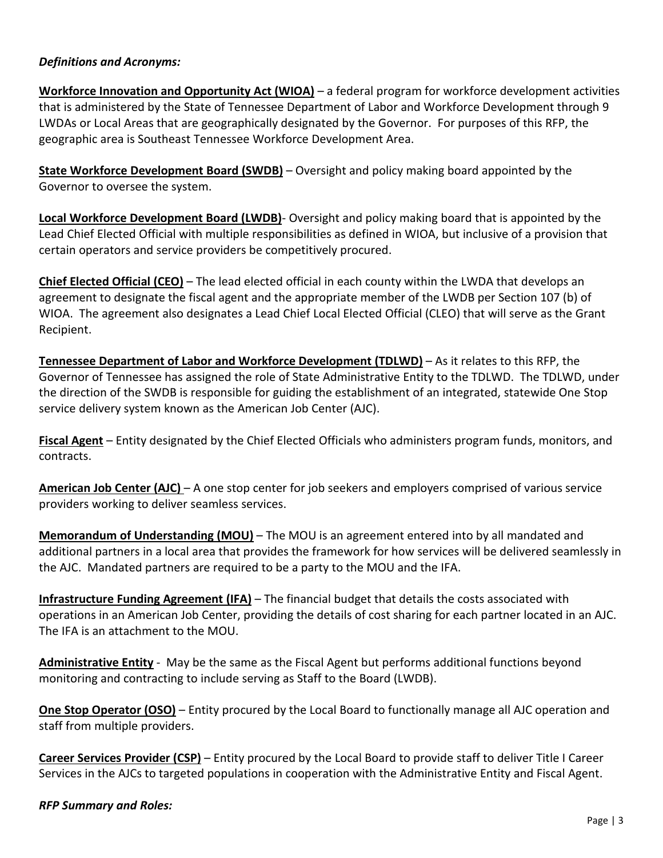#### *Definitions and Acronyms:*

**Workforce Innovation and Opportunity Act (WIOA)** – a federal program for workforce development activities that is administered by the State of Tennessee Department of Labor and Workforce Development through 9 LWDAs or Local Areas that are geographically designated by the Governor. For purposes of this RFP, the geographic area is Southeast Tennessee Workforce Development Area.

**State Workforce Development Board (SWDB)** – Oversight and policy making board appointed by the Governor to oversee the system.

**Local Workforce Development Board (LWDB)**- Oversight and policy making board that is appointed by the Lead Chief Elected Official with multiple responsibilities as defined in WIOA, but inclusive of a provision that certain operators and service providers be competitively procured.

**Chief Elected Official (CEO)** – The lead elected official in each county within the LWDA that develops an agreement to designate the fiscal agent and the appropriate member of the LWDB per Section 107 (b) of WIOA. The agreement also designates a Lead Chief Local Elected Official (CLEO) that will serve as the Grant Recipient.

**Tennessee Department of Labor and Workforce Development (TDLWD)** – As it relates to this RFP, the Governor of Tennessee has assigned the role of State Administrative Entity to the TDLWD. The TDLWD, under the direction of the SWDB is responsible for guiding the establishment of an integrated, statewide One Stop service delivery system known as the American Job Center (AJC).

**Fiscal Agent** – Entity designated by the Chief Elected Officials who administers program funds, monitors, and contracts.

**American Job Center (AJC)** – A one stop center for job seekers and employers comprised of various service providers working to deliver seamless services.

**Memorandum of Understanding (MOU)** – The MOU is an agreement entered into by all mandated and additional partners in a local area that provides the framework for how services will be delivered seamlessly in the AJC. Mandated partners are required to be a party to the MOU and the IFA.

**Infrastructure Funding Agreement (IFA)** – The financial budget that details the costs associated with operations in an American Job Center, providing the details of cost sharing for each partner located in an AJC. The IFA is an attachment to the MOU.

**Administrative Entity** - May be the same as the Fiscal Agent but performs additional functions beyond monitoring and contracting to include serving as Staff to the Board (LWDB).

**One Stop Operator (OSO)** – Entity procured by the Local Board to functionally manage all AJC operation and staff from multiple providers.

**Career Services Provider (CSP)** – Entity procured by the Local Board to provide staff to deliver Title I Career Services in the AJCs to targeted populations in cooperation with the Administrative Entity and Fiscal Agent.

#### *RFP Summary and Roles:*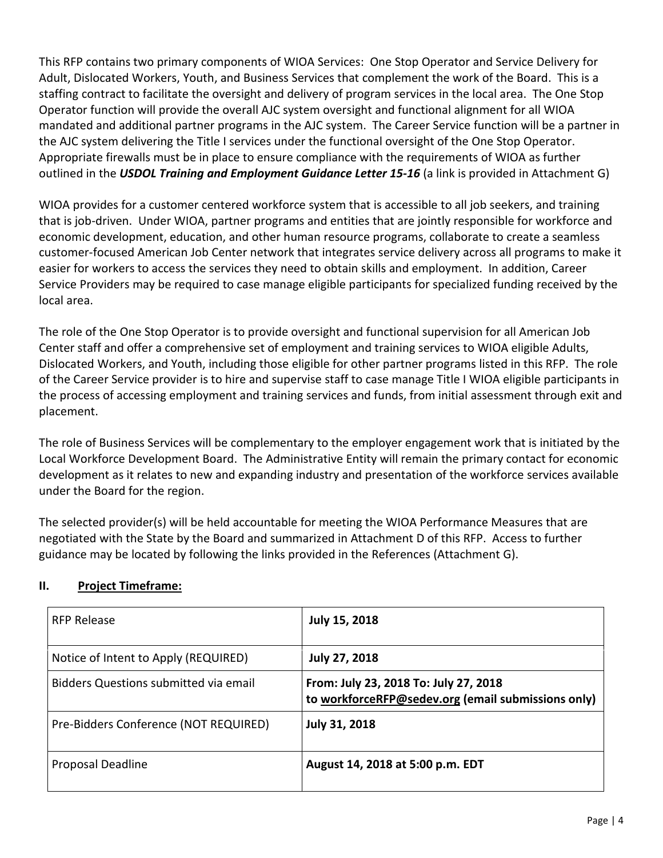This RFP contains two primary components of WIOA Services: One Stop Operator and Service Delivery for Adult, Dislocated Workers, Youth, and Business Services that complement the work of the Board. This is a staffing contract to facilitate the oversight and delivery of program services in the local area. The One Stop Operator function will provide the overall AJC system oversight and functional alignment for all WIOA mandated and additional partner programs in the AJC system. The Career Service function will be a partner in the AJC system delivering the Title I services under the functional oversight of the One Stop Operator. Appropriate firewalls must be in place to ensure compliance with the requirements of WIOA as further outlined in the *USDOL Training and Employment Guidance Letter 15-16* (a link is provided in Attachment G)

WIOA provides for a customer centered workforce system that is accessible to all job seekers, and training that is job-driven. Under WIOA, partner programs and entities that are jointly responsible for workforce and economic development, education, and other human resource programs, collaborate to create a seamless customer-focused American Job Center network that integrates service delivery across all programs to make it easier for workers to access the services they need to obtain skills and employment. In addition, Career Service Providers may be required to case manage eligible participants for specialized funding received by the local area.

The role of the One Stop Operator is to provide oversight and functional supervision for all American Job Center staff and offer a comprehensive set of employment and training services to WIOA eligible Adults, Dislocated Workers, and Youth, including those eligible for other partner programs listed in this RFP. The role of the Career Service provider is to hire and supervise staff to case manage Title I WIOA eligible participants in the process of accessing employment and training services and funds, from initial assessment through exit and placement.

The role of Business Services will be complementary to the employer engagement work that is initiated by the Local Workforce Development Board. The Administrative Entity will remain the primary contact for economic development as it relates to new and expanding industry and presentation of the workforce services available under the Board for the region.

The selected provider(s) will be held accountable for meeting the WIOA Performance Measures that are negotiated with the State by the Board and summarized in Attachment D of this RFP. Access to further guidance may be located by following the links provided in the References (Attachment G).

| <b>RFP Release</b>                    | <b>July 15, 2018</b>                                                                        |
|---------------------------------------|---------------------------------------------------------------------------------------------|
| Notice of Intent to Apply (REQUIRED)  | <b>July 27, 2018</b>                                                                        |
| Bidders Questions submitted via email | From: July 23, 2018 To: July 27, 2018<br>to workforceRFP@sedev.org (email submissions only) |
| Pre-Bidders Conference (NOT REQUIRED) | July 31, 2018                                                                               |
| <b>Proposal Deadline</b>              | August 14, 2018 at 5:00 p.m. EDT                                                            |

## **II. Project Timeframe:**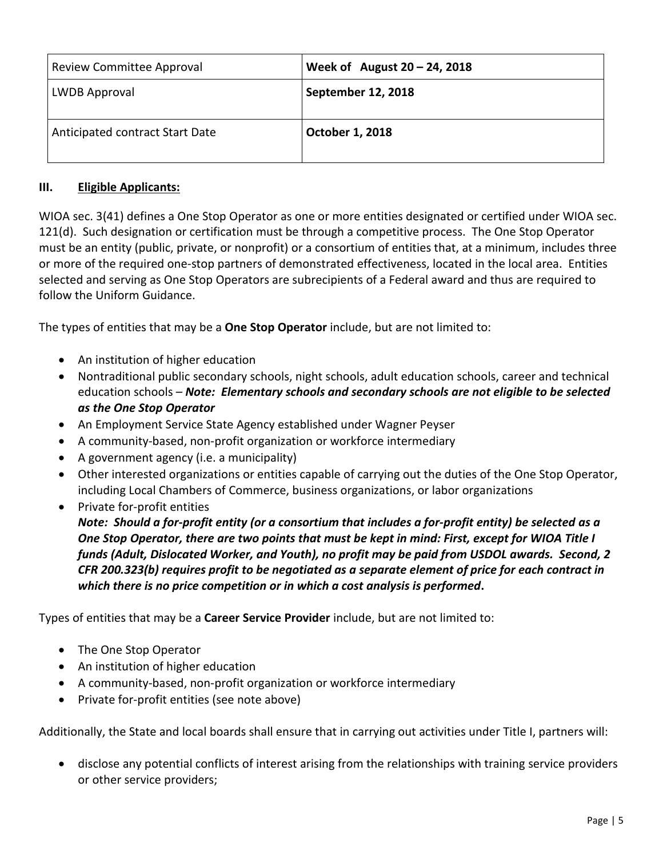| Review Committee Approval       | Week of August $20 - 24$ , 2018 |
|---------------------------------|---------------------------------|
| LWDB Approval                   | September 12, 2018              |
| Anticipated contract Start Date | October 1, 2018                 |

#### **III. Eligible Applicants:**

WIOA sec. 3(41) defines a One Stop Operator as one or more entities designated or certified under WIOA sec. 121(d). Such designation or certification must be through a competitive process. The One Stop Operator must be an entity (public, private, or nonprofit) or a consortium of entities that, at a minimum, includes three or more of the required one-stop partners of demonstrated effectiveness, located in the local area. Entities selected and serving as One Stop Operators are subrecipients of a Federal award and thus are required to follow the Uniform Guidance.

The types of entities that may be a **One Stop Operator** include, but are not limited to:

- An institution of higher education
- Nontraditional public secondary schools, night schools, adult education schools, career and technical education schools – *Note: Elementary schools and secondary schools are not eligible to be selected as the One Stop Operator*
- An Employment Service State Agency established under Wagner Peyser
- A community-based, non-profit organization or workforce intermediary
- A government agency (i.e. a municipality)
- Other interested organizations or entities capable of carrying out the duties of the One Stop Operator, including Local Chambers of Commerce, business organizations, or labor organizations
- Private for-profit entities

*Note: Should a for-profit entity (or a consortium that includes a for-profit entity) be selected as a* One Stop Operator, there are two points that must be kept in mind: First, except for WIOA Title I *funds (Adult, Dislocated Worker, and Youth), no profit may be paid from USDOL awards. Second, 2 CFR 200.323(b) requires profit to be negotiated as a separate element of price for each contract in which there is no price competition or in which a cost analysis is performed***.** 

Types of entities that may be a **Career Service Provider** include, but are not limited to:

- The One Stop Operator
- An institution of higher education
- A community-based, non-profit organization or workforce intermediary
- Private for-profit entities (see note above)

Additionally, the State and local boards shall ensure that in carrying out activities under Title I, partners will:

• disclose any potential conflicts of interest arising from the relationships with training service providers or other service providers;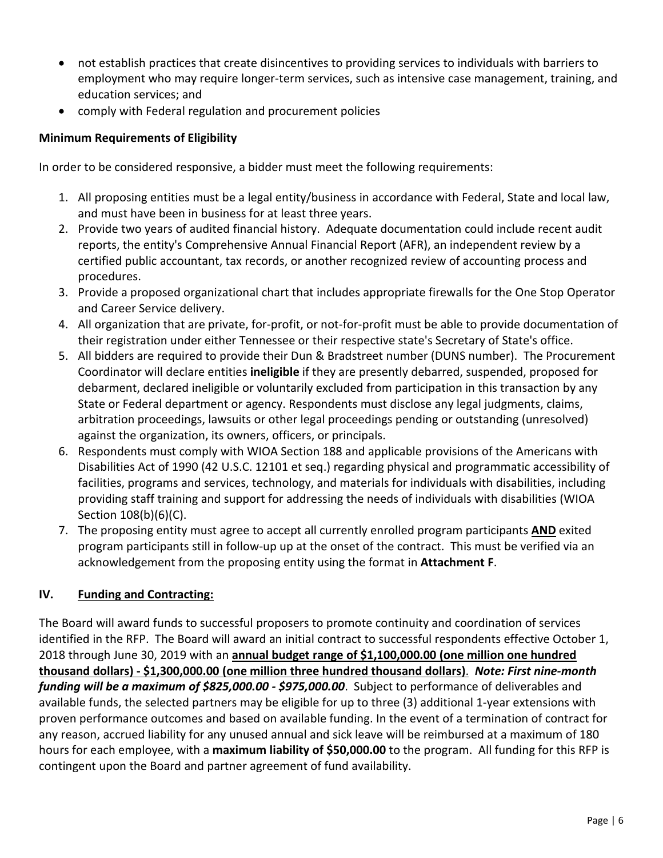- not establish practices that create disincentives to providing services to individuals with barriers to employment who may require longer-term services, such as intensive case management, training, and education services; and
- comply with Federal regulation and procurement policies

### **Minimum Requirements of Eligibility**

In order to be considered responsive, a bidder must meet the following requirements:

- 1. All proposing entities must be a legal entity/business in accordance with Federal, State and local law, and must have been in business for at least three years.
- 2. Provide two years of audited financial history. Adequate documentation could include recent audit reports, the entity's Comprehensive Annual Financial Report (AFR), an independent review by a certified public accountant, tax records, or another recognized review of accounting process and procedures.
- 3. Provide a proposed organizational chart that includes appropriate firewalls for the One Stop Operator and Career Service delivery.
- 4. All organization that are private, for-profit, or not-for-profit must be able to provide documentation of their registration under either Tennessee or their respective state's Secretary of State's office.
- 5. All bidders are required to provide their Dun & Bradstreet number (DUNS number). The Procurement Coordinator will declare entities **ineligible** if they are presently debarred, suspended, proposed for debarment, declared ineligible or voluntarily excluded from participation in this transaction by any State or Federal department or agency. Respondents must disclose any legal judgments, claims, arbitration proceedings, lawsuits or other legal proceedings pending or outstanding (unresolved) against the organization, its owners, officers, or principals.
- 6. Respondents must comply with WIOA Section 188 and applicable provisions of the Americans with Disabilities Act of 1990 (42 U.S.C. 12101 et seq.) regarding physical and programmatic accessibility of facilities, programs and services, technology, and materials for individuals with disabilities, including providing staff training and support for addressing the needs of individuals with disabilities (WIOA Section 108(b)(6)(C).
- 7. The proposing entity must agree to accept all currently enrolled program participants **AND** exited program participants still in follow-up up at the onset of the contract. This must be verified via an acknowledgement from the proposing entity using the format in **Attachment F**.

## **IV. Funding and Contracting:**

The Board will award funds to successful proposers to promote continuity and coordination of services identified in the RFP. The Board will award an initial contract to successful respondents effective October 1, 2018 through June 30, 2019 with an **annual budget range of \$1,100,000.00 (one million one hundred thousand dollars) - \$1,300,000.00 (one million three hundred thousand dollars)**. *Note: First nine-month funding will be a maximum of \$825,000.00 - \$975,000.00*. Subject to performance of deliverables and available funds, the selected partners may be eligible for up to three (3) additional 1-year extensions with proven performance outcomes and based on available funding. In the event of a termination of contract for any reason, accrued liability for any unused annual and sick leave will be reimbursed at a maximum of 180 hours for each employee, with a **maximum liability of \$50,000.00** to the program. All funding for this RFP is contingent upon the Board and partner agreement of fund availability.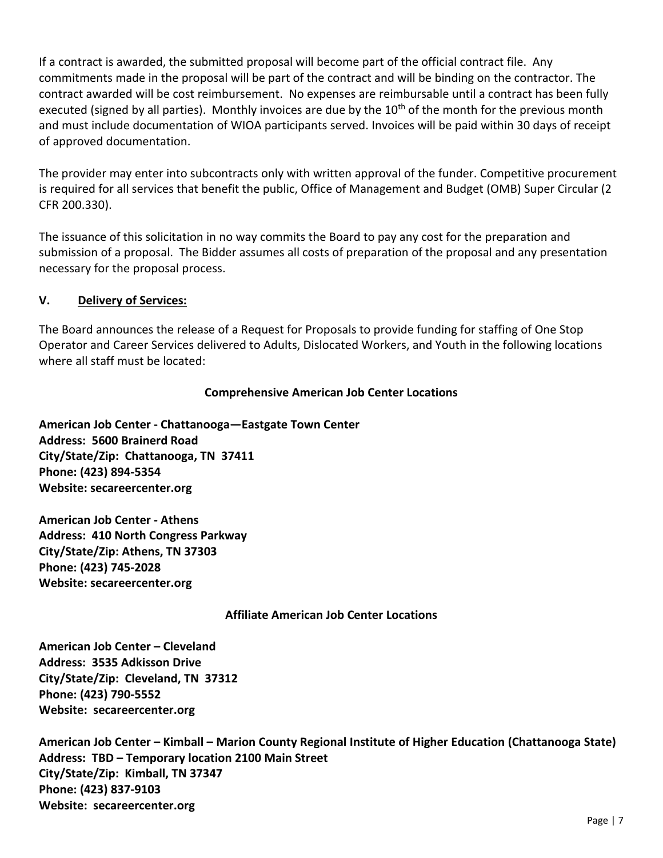If a contract is awarded, the submitted proposal will become part of the official contract file. Any commitments made in the proposal will be part of the contract and will be binding on the contractor. The contract awarded will be cost reimbursement. No expenses are reimbursable until a contract has been fully executed (signed by all parties). Monthly invoices are due by the  $10<sup>th</sup>$  of the month for the previous month and must include documentation of WIOA participants served. Invoices will be paid within 30 days of receipt of approved documentation.

The provider may enter into subcontracts only with written approval of the funder. Competitive procurement is required for all services that benefit the public, Office of Management and Budget (OMB) Super Circular (2 CFR 200.330).

The issuance of this solicitation in no way commits the Board to pay any cost for the preparation and submission of a proposal. The Bidder assumes all costs of preparation of the proposal and any presentation necessary for the proposal process.

#### **V. Delivery of Services:**

The Board announces the release of a Request for Proposals to provide funding for staffing of One Stop Operator and Career Services delivered to Adults, Dislocated Workers, and Youth in the following locations where all staff must be located:

#### **Comprehensive American Job Center Locations**

**American Job Center - Chattanooga—Eastgate Town Center Address: 5600 Brainerd Road City/State/Zip: Chattanooga, TN 37411 Phone: (423) 894-5354 Website: secareercenter.org**

**American Job Center - Athens Address: 410 North Congress Parkway City/State/Zip: Athens, TN 37303 Phone: (423) 745-2028 Website: secareercenter.org**

#### **Affiliate American Job Center Locations**

**American Job Center – Cleveland Address: 3535 Adkisson Drive City/State/Zip: Cleveland, TN 37312 Phone: (423) 790-5552 Website: secareercenter.org**

**American Job Center – Kimball – Marion County Regional Institute of Higher Education (Chattanooga State) Address: TBD – Temporary location 2100 Main Street City/State/Zip: Kimball, TN 37347 Phone: (423) 837-9103 Website: secareercenter.org**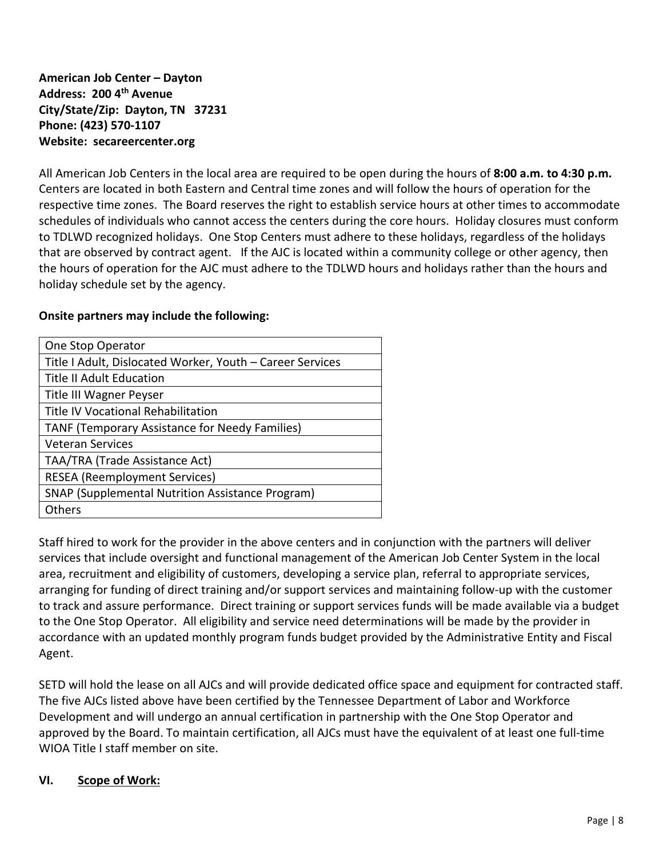**American Job Center – Dayton Address: 200 4 th Avenue City/State/Zip: Dayton, TN 37231 Phone: (423) 570-1107 Website: secareercenter.org**

All American Job Centers in the local area are required to be open during the hours of **8:00 a.m. to 4:30 p.m.** Centers are located in both Eastern and Central time zones and will follow the hours of operation for the respective time zones. The Board reserves the right to establish service hours at other times to accommodate schedules of individuals who cannot access the centers during the core hours. Holiday closures must conform to TDLWD recognized holidays. One Stop Centers must adhere to these holidays, regardless of the holidays that are observed by contract agent. If the AJC is located within a community college or other agency, then the hours of operation for the AJC must adhere to the TDLWD hours and holidays rather than the hours and holiday schedule set by the agency.

#### **Onsite partners may include the following:**

| One Stop Operator                                         |
|-----------------------------------------------------------|
| Title I Adult, Dislocated Worker, Youth - Career Services |
| <b>Title II Adult Education</b>                           |
| Title III Wagner Peyser                                   |
| <b>Title IV Vocational Rehabilitation</b>                 |
| TANF (Temporary Assistance for Needy Families)            |
| <b>Veteran Services</b>                                   |
| TAA/TRA (Trade Assistance Act)                            |
| <b>RESEA</b> (Reemployment Services)                      |
| <b>SNAP (Supplemental Nutrition Assistance Program)</b>   |
| <b>Others</b>                                             |

Staff hired to work for the provider in the above centers and in conjunction with the partners will deliver services that include oversight and functional management of the American Job Center System in the local area, recruitment and eligibility of customers, developing a service plan, referral to appropriate services, arranging for funding of direct training and/or support services and maintaining follow-up with the customer to track and assure performance. Direct training or support services funds will be made available via a budget to the One Stop Operator. All eligibility and service need determinations will be made by the provider in accordance with an updated monthly program funds budget provided by the Administrative Entity and Fiscal Agent.

SETD will hold the lease on all AJCs and will provide dedicated office space and equipment for contracted staff. The five AJCs listed above have been certified by the Tennessee Department of Labor and Workforce Development and will undergo an annual certification in partnership with the One Stop Operator and approved by the Board. To maintain certification, all AJCs must have the equivalent of at least one full-time WIOA Title I staff member on site.

#### **VI. Scope of Work:**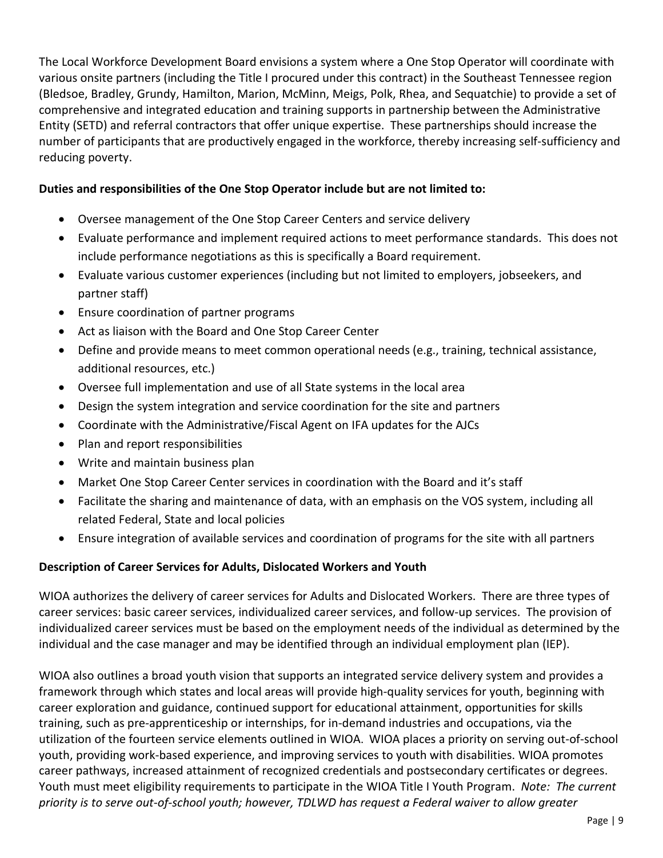The Local Workforce Development Board envisions a system where a One Stop Operator will coordinate with various onsite partners (including the Title I procured under this contract) in the Southeast Tennessee region (Bledsoe, Bradley, Grundy, Hamilton, Marion, McMinn, Meigs, Polk, Rhea, and Sequatchie) to provide a set of comprehensive and integrated education and training supports in partnership between the Administrative Entity (SETD) and referral contractors that offer unique expertise. These partnerships should increase the number of participants that are productively engaged in the workforce, thereby increasing self-sufficiency and reducing poverty.

#### **Duties and responsibilities of the One Stop Operator include but are not limited to:**

- Oversee management of the One Stop Career Centers and service delivery
- Evaluate performance and implement required actions to meet performance standards. This does not include performance negotiations as this is specifically a Board requirement.
- Evaluate various customer experiences (including but not limited to employers, jobseekers, and partner staff)
- Ensure coordination of partner programs
- Act as liaison with the Board and One Stop Career Center
- Define and provide means to meet common operational needs (e.g., training, technical assistance, additional resources, etc.)
- Oversee full implementation and use of all State systems in the local area
- Design the system integration and service coordination for the site and partners
- Coordinate with the Administrative/Fiscal Agent on IFA updates for the AJCs
- Plan and report responsibilities
- Write and maintain business plan
- Market One Stop Career Center services in coordination with the Board and it's staff
- Facilitate the sharing and maintenance of data, with an emphasis on the VOS system, including all related Federal, State and local policies
- Ensure integration of available services and coordination of programs for the site with all partners

#### **Description of Career Services for Adults, Dislocated Workers and Youth**

WIOA authorizes the delivery of career services for Adults and Dislocated Workers. There are three types of career services: basic career services, individualized career services, and follow-up services. The provision of individualized career services must be based on the employment needs of the individual as determined by the individual and the case manager and may be identified through an individual employment plan (IEP).

WIOA also outlines a broad youth vision that supports an integrated service delivery system and provides a framework through which states and local areas will provide high-quality services for youth, beginning with career exploration and guidance, continued support for educational attainment, opportunities for skills training, such as pre-apprenticeship or internships, for in-demand industries and occupations, via the utilization of the fourteen service elements outlined in WIOA. WIOA places a priority on serving out-of-school youth, providing work-based experience, and improving services to youth with disabilities. WIOA promotes career pathways, increased attainment of recognized credentials and postsecondary certificates or degrees. Youth must meet eligibility requirements to participate in the WIOA Title I Youth Program. *Note: The current priority is to serve out-of-school youth; however, TDLWD has request a Federal waiver to allow greater*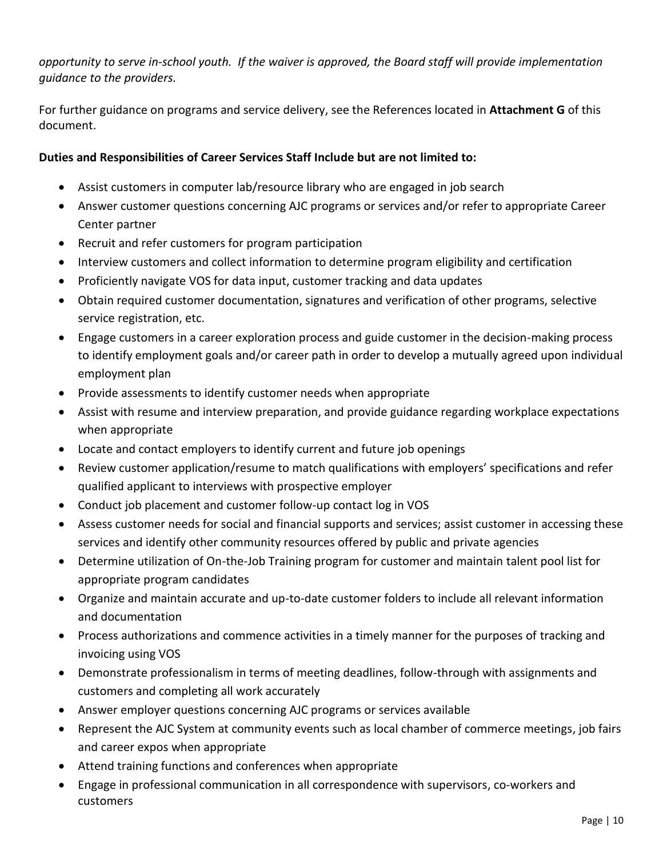*opportunity to serve in-school youth. If the waiver is approved, the Board staff will provide implementation guidance to the providers.*

For further guidance on programs and service delivery, see the References located in **Attachment G** of this document.

#### **Duties and Responsibilities of Career Services Staff Include but are not limited to:**

- Assist customers in computer lab/resource library who are engaged in job search
- Answer customer questions concerning AJC programs or services and/or refer to appropriate Career Center partner
- Recruit and refer customers for program participation
- Interview customers and collect information to determine program eligibility and certification
- Proficiently navigate VOS for data input, customer tracking and data updates
- Obtain required customer documentation, signatures and verification of other programs, selective service registration, etc.
- Engage customers in a career exploration process and guide customer in the decision-making process to identify employment goals and/or career path in order to develop a mutually agreed upon individual employment plan
- Provide assessments to identify customer needs when appropriate
- Assist with resume and interview preparation, and provide guidance regarding workplace expectations when appropriate
- Locate and contact employers to identify current and future job openings
- Review customer application/resume to match qualifications with employers' specifications and refer qualified applicant to interviews with prospective employer
- Conduct job placement and customer follow-up contact log in VOS
- Assess customer needs for social and financial supports and services; assist customer in accessing these services and identify other community resources offered by public and private agencies
- Determine utilization of On-the-Job Training program for customer and maintain talent pool list for appropriate program candidates
- Organize and maintain accurate and up-to-date customer folders to include all relevant information and documentation
- Process authorizations and commence activities in a timely manner for the purposes of tracking and invoicing using VOS
- Demonstrate professionalism in terms of meeting deadlines, follow-through with assignments and customers and completing all work accurately
- Answer employer questions concerning AJC programs or services available
- Represent the AJC System at community events such as local chamber of commerce meetings, job fairs and career expos when appropriate
- Attend training functions and conferences when appropriate
- Engage in professional communication in all correspondence with supervisors, co-workers and customers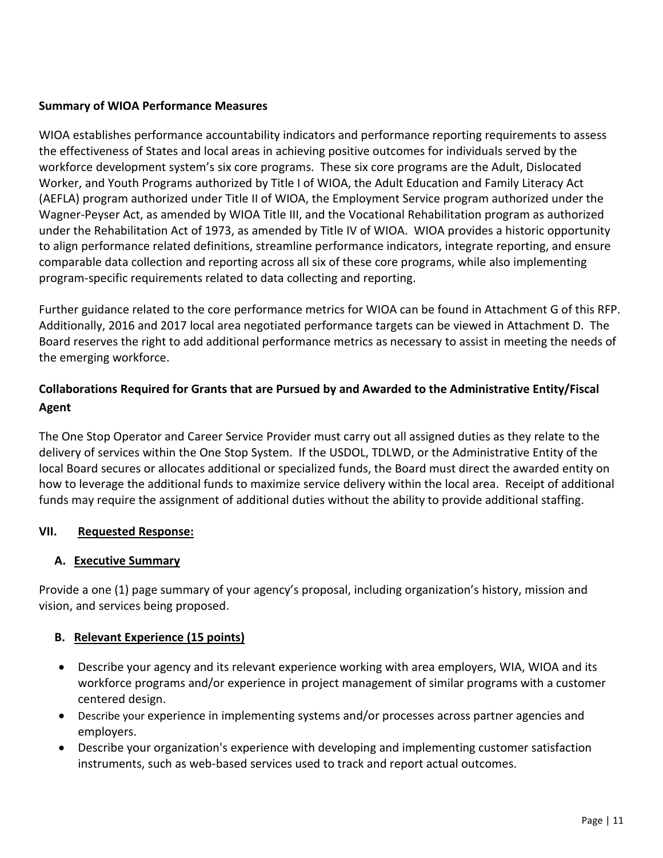#### **Summary of WIOA Performance Measures**

WIOA establishes performance accountability indicators and performance reporting requirements to assess the effectiveness of States and local areas in achieving positive outcomes for individuals served by the workforce development system's six core programs. These six core programs are the Adult, Dislocated Worker, and Youth Programs authorized by Title I of WIOA, the Adult Education and Family Literacy Act (AEFLA) program authorized under Title II of WIOA, the Employment Service program authorized under the Wagner-Peyser Act, as amended by WIOA Title III, and the Vocational Rehabilitation program as authorized under the Rehabilitation Act of 1973, as amended by Title IV of WIOA. WIOA provides a historic opportunity to align performance related definitions, streamline performance indicators, integrate reporting, and ensure comparable data collection and reporting across all six of these core programs, while also implementing program-specific requirements related to data collecting and reporting.

Further guidance related to the core performance metrics for WIOA can be found in Attachment G of this RFP. Additionally, 2016 and 2017 local area negotiated performance targets can be viewed in Attachment D. The Board reserves the right to add additional performance metrics as necessary to assist in meeting the needs of the emerging workforce.

## **Collaborations Required for Grants that are Pursued by and Awarded to the Administrative Entity/Fiscal Agent**

The One Stop Operator and Career Service Provider must carry out all assigned duties as they relate to the delivery of services within the One Stop System. If the USDOL, TDLWD, or the Administrative Entity of the local Board secures or allocates additional or specialized funds, the Board must direct the awarded entity on how to leverage the additional funds to maximize service delivery within the local area. Receipt of additional funds may require the assignment of additional duties without the ability to provide additional staffing.

#### **VII. Requested Response:**

#### **A. Executive Summary**

Provide a one (1) page summary of your agency's proposal, including organization's history, mission and vision, and services being proposed.

#### **B. Relevant Experience (15 points)**

- Describe your agency and its relevant experience working with area employers, WIA, WIOA and its workforce programs and/or experience in project management of similar programs with a customer centered design.
- Describe your experience in implementing systems and/or processes across partner agencies and employers.
- Describe your organization's experience with developing and implementing customer satisfaction instruments, such as web-based services used to track and report actual outcomes.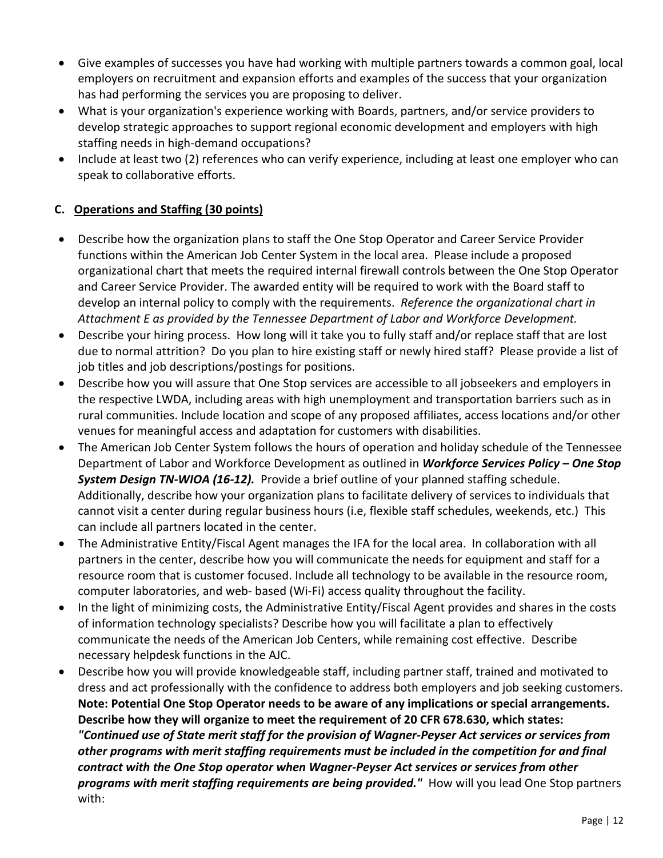- Give examples of successes you have had working with multiple partners towards a common goal, local employers on recruitment and expansion efforts and examples of the success that your organization has had performing the services you are proposing to deliver.
- What is your organization's experience working with Boards, partners, and/or service providers to develop strategic approaches to support regional economic development and employers with high staffing needs in high-demand occupations?
- Include at least two (2) references who can verify experience, including at least one employer who can speak to collaborative efforts.

### **C. Operations and Staffing (30 points)**

- Describe how the organization plans to staff the One Stop Operator and Career Service Provider functions within the American Job Center System in the local area. Please include a proposed organizational chart that meets the required internal firewall controls between the One Stop Operator and Career Service Provider. The awarded entity will be required to work with the Board staff to develop an internal policy to comply with the requirements. *Reference the organizational chart in Attachment E as provided by the Tennessee Department of Labor and Workforce Development.*
- Describe your hiring process. How long will it take you to fully staff and/or replace staff that are lost due to normal attrition? Do you plan to hire existing staff or newly hired staff? Please provide a list of job titles and job descriptions/postings for positions.
- Describe how you will assure that One Stop services are accessible to all jobseekers and employers in the respective LWDA, including areas with high unemployment and transportation barriers such as in rural communities. Include location and scope of any proposed affiliates, access locations and/or other venues for meaningful access and adaptation for customers with disabilities.
- The American Job Center System follows the hours of operation and holiday schedule of the Tennessee Department of Labor and Workforce Development as outlined in *Workforce Services Policy – One Stop System Design TN-WIOA (16-12).* Provide a brief outline of your planned staffing schedule. Additionally, describe how your organization plans to facilitate delivery of services to individuals that cannot visit a center during regular business hours (i.e, flexible staff schedules, weekends, etc.) This can include all partners located in the center.
- The Administrative Entity/Fiscal Agent manages the IFA for the local area. In collaboration with all partners in the center, describe how you will communicate the needs for equipment and staff for a resource room that is customer focused. Include all technology to be available in the resource room, computer laboratories, and web- based (Wi-Fi) access quality throughout the facility.
- In the light of minimizing costs, the Administrative Entity/Fiscal Agent provides and shares in the costs of information technology specialists? Describe how you will facilitate a plan to effectively communicate the needs of the American Job Centers, while remaining cost effective. Describe necessary helpdesk functions in the AJC.
- Describe how you will provide knowledgeable staff, including partner staff, trained and motivated to dress and act professionally with the confidence to address both employers and job seeking customers. **Note: Potential One Stop Operator needs to be aware of any implications or special arrangements. Describe how they will organize to meet the requirement of 20 CFR 678.630, which states:** *"Continued use of State merit staff for the provision of Wagner-Peyser Act services or services from other programs with merit staffing requirements must be included in the competition for and final contract with the One Stop operator when Wagner-Peyser Act services or services from other programs with merit staffing requirements are being provided."* How will you lead One Stop partners with: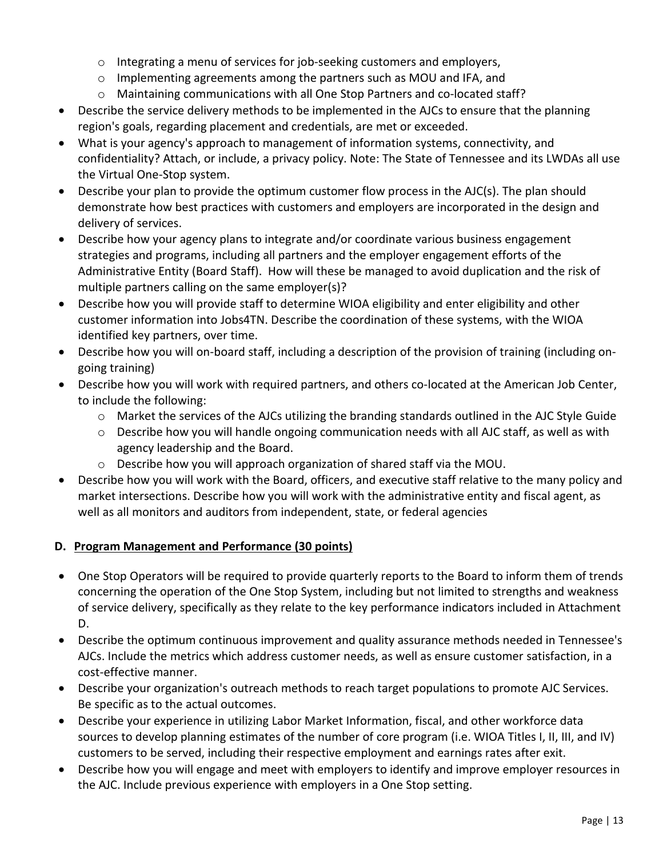- $\circ$  Integrating a menu of services for job-seeking customers and employers,
- o Implementing agreements among the partners such as MOU and IFA, and
- o Maintaining communications with all One Stop Partners and co-located staff?
- Describe the service delivery methods to be implemented in the AJCs to ensure that the planning region's goals, regarding placement and credentials, are met or exceeded.
- What is your agency's approach to management of information systems, connectivity, and confidentiality? Attach, or include, a privacy policy. Note: The State of Tennessee and its LWDAs all use the Virtual One-Stop system.
- Describe your plan to provide the optimum customer flow process in the AJC(s). The plan should demonstrate how best practices with customers and employers are incorporated in the design and delivery of services.
- Describe how your agency plans to integrate and/or coordinate various business engagement strategies and programs, including all partners and the employer engagement efforts of the Administrative Entity (Board Staff). How will these be managed to avoid duplication and the risk of multiple partners calling on the same employer(s)?
- Describe how you will provide staff to determine WIOA eligibility and enter eligibility and other customer information into Jobs4TN. Describe the coordination of these systems, with the WIOA identified key partners, over time.
- Describe how you will on-board staff, including a description of the provision of training (including ongoing training)
- Describe how you will work with required partners, and others co-located at the American Job Center, to include the following:
	- o Market the services of the AJCs utilizing the branding standards outlined in the AJC Style Guide
	- $\circ$  Describe how you will handle ongoing communication needs with all AJC staff, as well as with agency leadership and the Board.
	- o Describe how you will approach organization of shared staff via the MOU.
- Describe how you will work with the Board, officers, and executive staff relative to the many policy and market intersections. Describe how you will work with the administrative entity and fiscal agent, as well as all monitors and auditors from independent, state, or federal agencies

## **D. Program Management and Performance (30 points)**

- One Stop Operators will be required to provide quarterly reports to the Board to inform them of trends concerning the operation of the One Stop System, including but not limited to strengths and weakness of service delivery, specifically as they relate to the key performance indicators included in Attachment D.
- Describe the optimum continuous improvement and quality assurance methods needed in Tennessee's AJCs. Include the metrics which address customer needs, as well as ensure customer satisfaction, in a cost-effective manner.
- Describe your organization's outreach methods to reach target populations to promote AJC Services. Be specific as to the actual outcomes.
- Describe your experience in utilizing Labor Market Information, fiscal, and other workforce data sources to develop planning estimates of the number of core program (i.e. WIOA Titles I, II, III, and IV) customers to be served, including their respective employment and earnings rates after exit.
- Describe how you will engage and meet with employers to identify and improve employer resources in the AJC. Include previous experience with employers in a One Stop setting.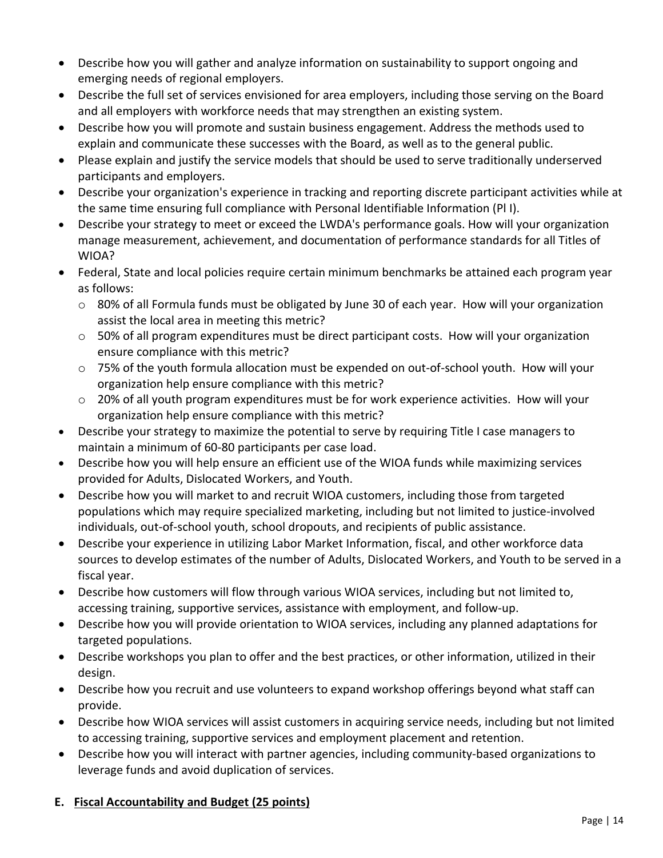- Describe how you will gather and analyze information on sustainability to support ongoing and emerging needs of regional employers.
- Describe the full set of services envisioned for area employers, including those serving on the Board and all employers with workforce needs that may strengthen an existing system.
- Describe how you will promote and sustain business engagement. Address the methods used to explain and communicate these successes with the Board, as well as to the general public.
- Please explain and justify the service models that should be used to serve traditionally underserved participants and employers.
- Describe your organization's experience in tracking and reporting discrete participant activities while at the same time ensuring full compliance with Personal Identifiable Information (Pl I).
- Describe your strategy to meet or exceed the LWDA's performance goals. How will your organization manage measurement, achievement, and documentation of performance standards for all Titles of WIOA?
- Federal, State and local policies require certain minimum benchmarks be attained each program year as follows:
	- $\circ$  80% of all Formula funds must be obligated by June 30 of each year. How will your organization assist the local area in meeting this metric?
	- $\circ$  50% of all program expenditures must be direct participant costs. How will your organization ensure compliance with this metric?
	- $\circ$  75% of the youth formula allocation must be expended on out-of-school youth. How will your organization help ensure compliance with this metric?
	- $\circ$  20% of all youth program expenditures must be for work experience activities. How will your organization help ensure compliance with this metric?
- Describe your strategy to maximize the potential to serve by requiring Title I case managers to maintain a minimum of 60-80 participants per case load.
- Describe how you will help ensure an efficient use of the WIOA funds while maximizing services provided for Adults, Dislocated Workers, and Youth.
- Describe how you will market to and recruit WIOA customers, including those from targeted populations which may require specialized marketing, including but not limited to justice-involved individuals, out-of-school youth, school dropouts, and recipients of public assistance.
- Describe your experience in utilizing Labor Market Information, fiscal, and other workforce data sources to develop estimates of the number of Adults, Dislocated Workers, and Youth to be served in a fiscal year.
- Describe how customers will flow through various WIOA services, including but not limited to, accessing training, supportive services, assistance with employment, and follow-up.
- Describe how you will provide orientation to WIOA services, including any planned adaptations for targeted populations.
- Describe workshops you plan to offer and the best practices, or other information, utilized in their design.
- Describe how you recruit and use volunteers to expand workshop offerings beyond what staff can provide.
- Describe how WIOA services will assist customers in acquiring service needs, including but not limited to accessing training, supportive services and employment placement and retention.
- Describe how you will interact with partner agencies, including community-based organizations to leverage funds and avoid duplication of services.

## **E. Fiscal Accountability and Budget (25 points)**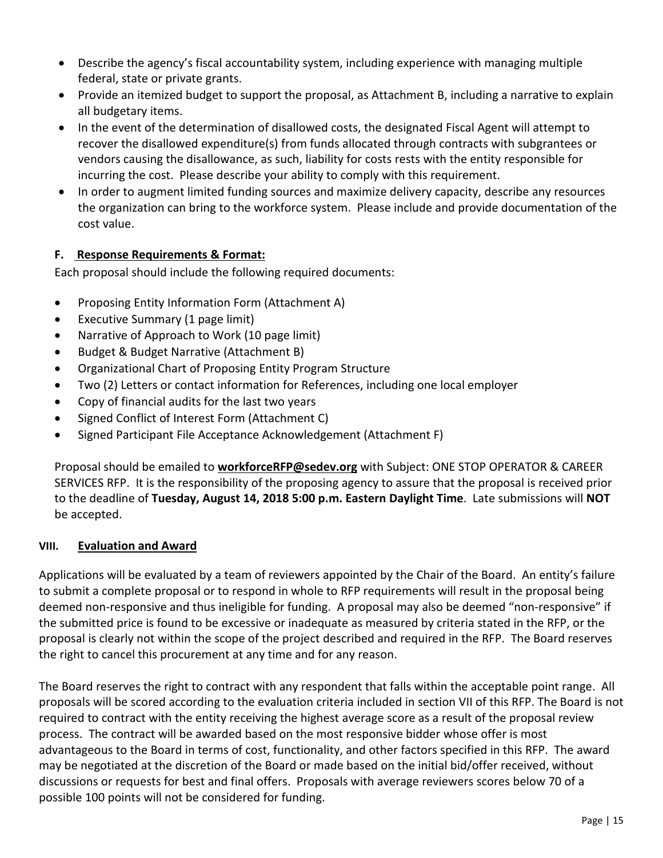- Describe the agency's fiscal accountability system, including experience with managing multiple federal, state or private grants.
- Provide an itemized budget to support the proposal, as Attachment B, including a narrative to explain all budgetary items.
- In the event of the determination of disallowed costs, the designated Fiscal Agent will attempt to recover the disallowed expenditure(s) from funds allocated through contracts with subgrantees or vendors causing the disallowance, as such, liability for costs rests with the entity responsible for incurring the cost. Please describe your ability to comply with this requirement.
- In order to augment limited funding sources and maximize delivery capacity, describe any resources the organization can bring to the workforce system. Please include and provide documentation of the cost value.

### **F. Response Requirements & Format:**

Each proposal should include the following required documents:

- Proposing Entity Information Form (Attachment A)
- Executive Summary (1 page limit)
- Narrative of Approach to Work (10 page limit)
- Budget & Budget Narrative (Attachment B)
- Organizational Chart of Proposing Entity Program Structure
- Two (2) Letters or contact information for References, including one local employer
- Copy of financial audits for the last two years
- Signed Conflict of Interest Form (Attachment C)
- Signed Participant File Acceptance Acknowledgement (Attachment F)

Proposal should be emailed to **[workforceRFP@sedev.org](mailto:scowden@sedev.org)** with Subject: ONE STOP OPERATOR & CAREER SERVICES RFP. It is the responsibility of the proposing agency to assure that the proposal is received prior to the deadline of **Tuesday, August 14, 2018 5:00 p.m. Eastern Daylight Time**. Late submissions will **NOT** be accepted.

#### **VIII. Evaluation and Award**

Applications will be evaluated by a team of reviewers appointed by the Chair of the Board. An entity's failure to submit a complete proposal or to respond in whole to RFP requirements will result in the proposal being deemed non-responsive and thus ineligible for funding. A proposal may also be deemed "non-responsive" if the submitted price is found to be excessive or inadequate as measured by criteria stated in the RFP, or the proposal is clearly not within the scope of the project described and required in the RFP. The Board reserves the right to cancel this procurement at any time and for any reason.

The Board reserves the right to contract with any respondent that falls within the acceptable point range. All proposals will be scored according to the evaluation criteria included in section VII of this RFP. The Board is not required to contract with the entity receiving the highest average score as a result of the proposal review process. The contract will be awarded based on the most responsive bidder whose offer is most advantageous to the Board in terms of cost, functionality, and other factors specified in this RFP. The award may be negotiated at the discretion of the Board or made based on the initial bid/offer received, without discussions or requests for best and final offers. Proposals with average reviewers scores below 70 of a possible 100 points will not be considered for funding.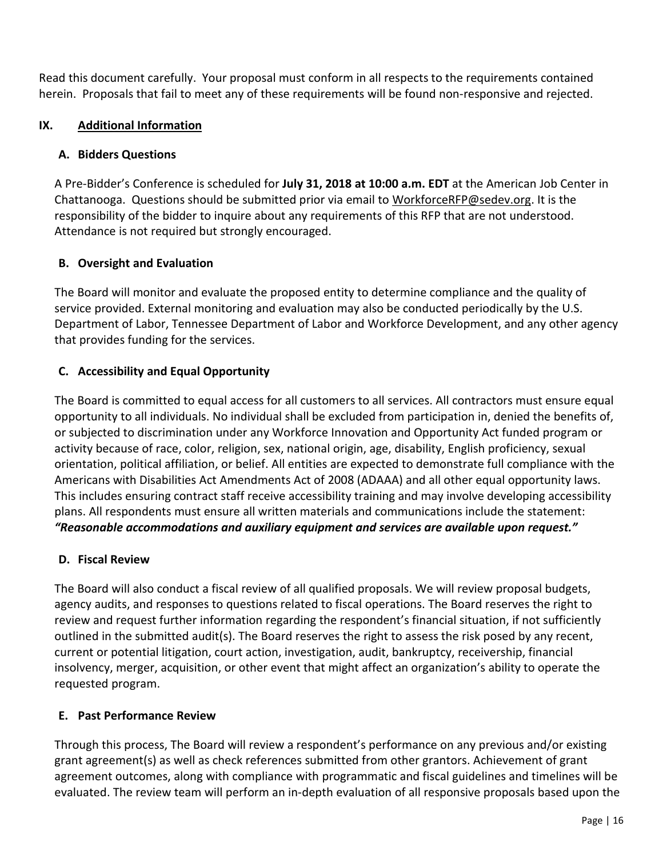Read this document carefully. Your proposal must conform in all respects to the requirements contained herein. Proposals that fail to meet any of these requirements will be found non-responsive and rejected.

### **IX. Additional Information**

#### **A. Bidders Questions**

A Pre-Bidder's Conference is scheduled for **July 31, 2018 at 10:00 a.m. EDT** at the American Job Center in Chattanooga. Questions should be submitted prior via email to [WorkforceRFP@sedev.org.](mailto:WorkforceRFP@sedev.org) It is the responsibility of the bidder to inquire about any requirements of this RFP that are not understood. Attendance is not required but strongly encouraged.

### **B. Oversight and Evaluation**

The Board will monitor and evaluate the proposed entity to determine compliance and the quality of service provided. External monitoring and evaluation may also be conducted periodically by the U.S. Department of Labor, Tennessee Department of Labor and Workforce Development, and any other agency that provides funding for the services.

### **C. Accessibility and Equal Opportunity**

The Board is committed to equal access for all customers to all services. All contractors must ensure equal opportunity to all individuals. No individual shall be excluded from participation in, denied the benefits of, or subjected to discrimination under any Workforce Innovation and Opportunity Act funded program or activity because of race, color, religion, sex, national origin, age, disability, English proficiency, sexual orientation, political affiliation, or belief. All entities are expected to demonstrate full compliance with the Americans with Disabilities Act Amendments Act of 2008 (ADAAA) and all other equal opportunity laws. This includes ensuring contract staff receive accessibility training and may involve developing accessibility plans. All respondents must ensure all written materials and communications include the statement: *"Reasonable accommodations and auxiliary equipment and services are available upon request."*

#### **D. Fiscal Review**

The Board will also conduct a fiscal review of all qualified proposals. We will review proposal budgets, agency audits, and responses to questions related to fiscal operations. The Board reserves the right to review and request further information regarding the respondent's financial situation, if not sufficiently outlined in the submitted audit(s). The Board reserves the right to assess the risk posed by any recent, current or potential litigation, court action, investigation, audit, bankruptcy, receivership, financial insolvency, merger, acquisition, or other event that might affect an organization's ability to operate the requested program.

#### **E. Past Performance Review**

Through this process, The Board will review a respondent's performance on any previous and/or existing grant agreement(s) as well as check references submitted from other grantors. Achievement of grant agreement outcomes, along with compliance with programmatic and fiscal guidelines and timelines will be evaluated. The review team will perform an in-depth evaluation of all responsive proposals based upon the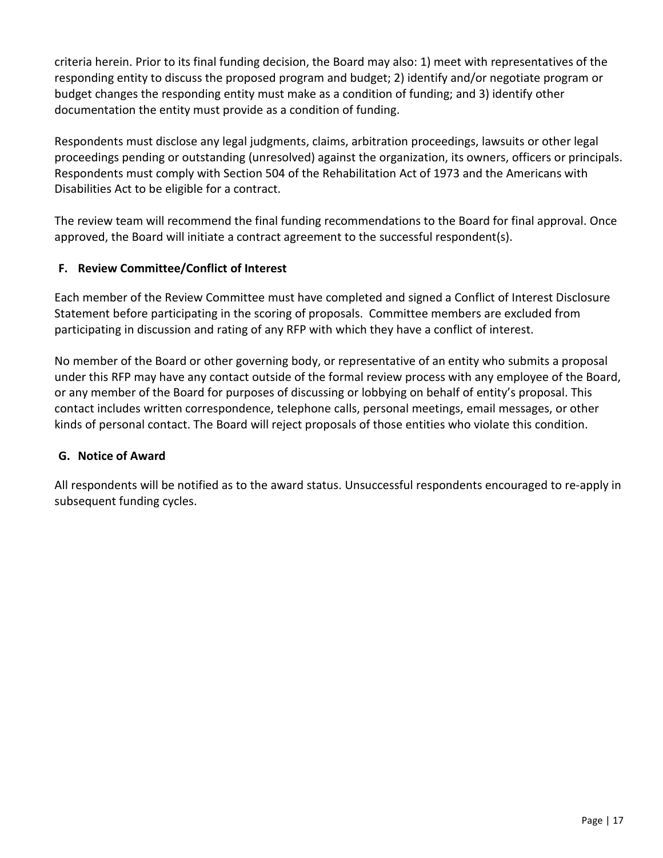criteria herein. Prior to its final funding decision, the Board may also: 1) meet with representatives of the responding entity to discuss the proposed program and budget; 2) identify and/or negotiate program or budget changes the responding entity must make as a condition of funding; and 3) identify other documentation the entity must provide as a condition of funding.

Respondents must disclose any legal judgments, claims, arbitration proceedings, lawsuits or other legal proceedings pending or outstanding (unresolved) against the organization, its owners, officers or principals. Respondents must comply with Section 504 of the Rehabilitation Act of 1973 and the Americans with Disabilities Act to be eligible for a contract.

The review team will recommend the final funding recommendations to the Board for final approval. Once approved, the Board will initiate a contract agreement to the successful respondent(s).

## **F. Review Committee/Conflict of Interest**

Each member of the Review Committee must have completed and signed a Conflict of Interest Disclosure Statement before participating in the scoring of proposals. Committee members are excluded from participating in discussion and rating of any RFP with which they have a conflict of interest.

No member of the Board or other governing body, or representative of an entity who submits a proposal under this RFP may have any contact outside of the formal review process with any employee of the Board, or any member of the Board for purposes of discussing or lobbying on behalf of entity's proposal. This contact includes written correspondence, telephone calls, personal meetings, email messages, or other kinds of personal contact. The Board will reject proposals of those entities who violate this condition.

## **G. Notice of Award**

All respondents will be notified as to the award status. Unsuccessful respondents encouraged to re-apply in subsequent funding cycles.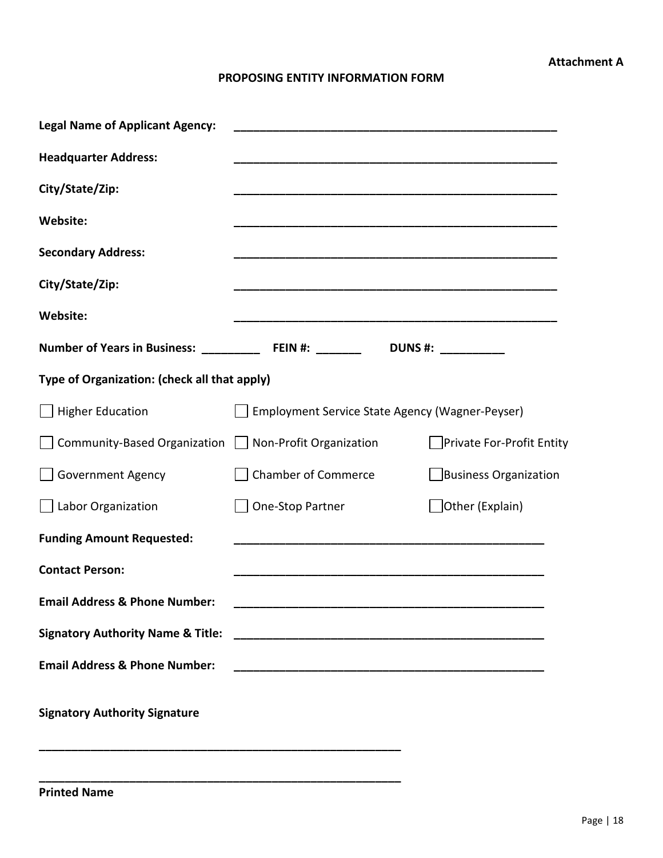#### **PROPOSING ENTITY INFORMATION FORM**

| <b>Legal Name of Applicant Agency:</b>       | <u> 1980 - Johann Barbara, martin amerikan basar da</u>                                                              |                           |  |  |  |  |
|----------------------------------------------|----------------------------------------------------------------------------------------------------------------------|---------------------------|--|--|--|--|
| <b>Headquarter Address:</b>                  |                                                                                                                      |                           |  |  |  |  |
| City/State/Zip:                              |                                                                                                                      |                           |  |  |  |  |
| <b>Website:</b>                              |                                                                                                                      |                           |  |  |  |  |
| <b>Secondary Address:</b>                    |                                                                                                                      |                           |  |  |  |  |
| City/State/Zip:                              |                                                                                                                      |                           |  |  |  |  |
| <b>Website:</b>                              |                                                                                                                      |                           |  |  |  |  |
|                                              |                                                                                                                      |                           |  |  |  |  |
| Type of Organization: (check all that apply) |                                                                                                                      |                           |  |  |  |  |
| <b>Higher Education</b>                      | Employment Service State Agency (Wagner-Peyser)                                                                      |                           |  |  |  |  |
| Community-Based Organization                 | Non-Profit Organization                                                                                              | Private For-Profit Entity |  |  |  |  |
| <b>Government Agency</b>                     | <b>Chamber of Commerce</b>                                                                                           | Business Organization     |  |  |  |  |
| Labor Organization                           | One-Stop Partner                                                                                                     | $\Box$ Other (Explain)    |  |  |  |  |
| <b>Funding Amount Requested:</b>             |                                                                                                                      |                           |  |  |  |  |
| <b>Contact Person:</b>                       |                                                                                                                      |                           |  |  |  |  |
| <b>Email Address &amp; Phone Number:</b>     |                                                                                                                      |                           |  |  |  |  |
| <b>Signatory Authority Name &amp; Title:</b> |                                                                                                                      |                           |  |  |  |  |
| <b>Email Address &amp; Phone Number:</b>     | <u> 1989 - Jan James James Barnett, amerikan basar dan berasal dalam pengaran basar dalam pengaran basar dalam b</u> |                           |  |  |  |  |
| <b>Signatory Authority Signature</b>         |                                                                                                                      |                           |  |  |  |  |
|                                              |                                                                                                                      |                           |  |  |  |  |

**Printed Name**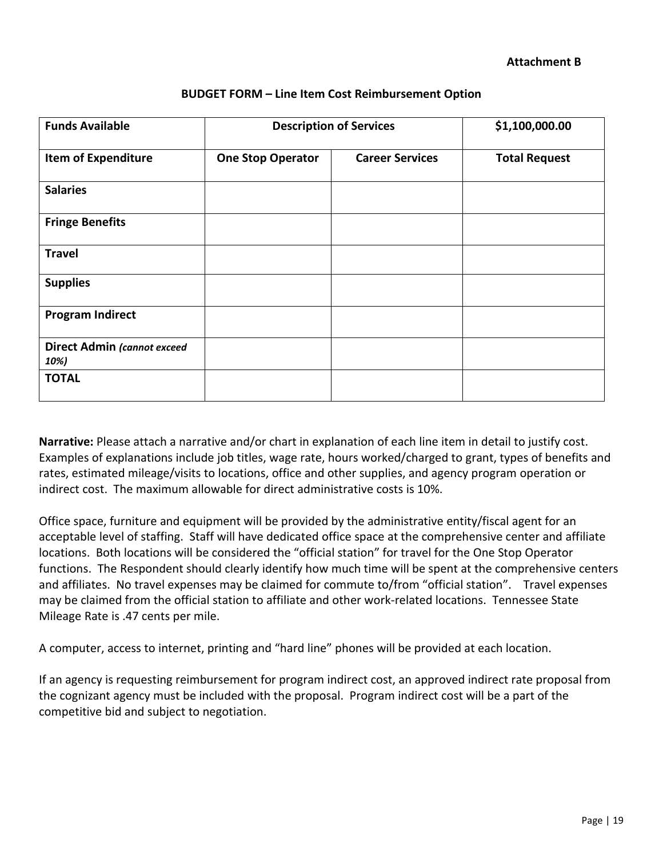#### **Attachment B**

| <b>Funds Available</b>                     | <b>Description of Services</b> |                        | \$1,100,000.00       |
|--------------------------------------------|--------------------------------|------------------------|----------------------|
| <b>Item of Expenditure</b>                 | <b>One Stop Operator</b>       | <b>Career Services</b> | <b>Total Request</b> |
| <b>Salaries</b>                            |                                |                        |                      |
| <b>Fringe Benefits</b>                     |                                |                        |                      |
| <b>Travel</b>                              |                                |                        |                      |
| <b>Supplies</b>                            |                                |                        |                      |
| <b>Program Indirect</b>                    |                                |                        |                      |
| <b>Direct Admin (cannot exceed</b><br>10%) |                                |                        |                      |
| <b>TOTAL</b>                               |                                |                        |                      |

#### **BUDGET FORM – Line Item Cost Reimbursement Option**

**Narrative:** Please attach a narrative and/or chart in explanation of each line item in detail to justify cost. Examples of explanations include job titles, wage rate, hours worked/charged to grant, types of benefits and rates, estimated mileage/visits to locations, office and other supplies, and agency program operation or indirect cost. The maximum allowable for direct administrative costs is 10%.

Office space, furniture and equipment will be provided by the administrative entity/fiscal agent for an acceptable level of staffing. Staff will have dedicated office space at the comprehensive center and affiliate locations. Both locations will be considered the "official station" for travel for the One Stop Operator functions. The Respondent should clearly identify how much time will be spent at the comprehensive centers and affiliates. No travel expenses may be claimed for commute to/from "official station". Travel expenses may be claimed from the official station to affiliate and other work-related locations. Tennessee State Mileage Rate is .47 cents per mile.

A computer, access to internet, printing and "hard line" phones will be provided at each location.

If an agency is requesting reimbursement for program indirect cost, an approved indirect rate proposal from the cognizant agency must be included with the proposal. Program indirect cost will be a part of the competitive bid and subject to negotiation.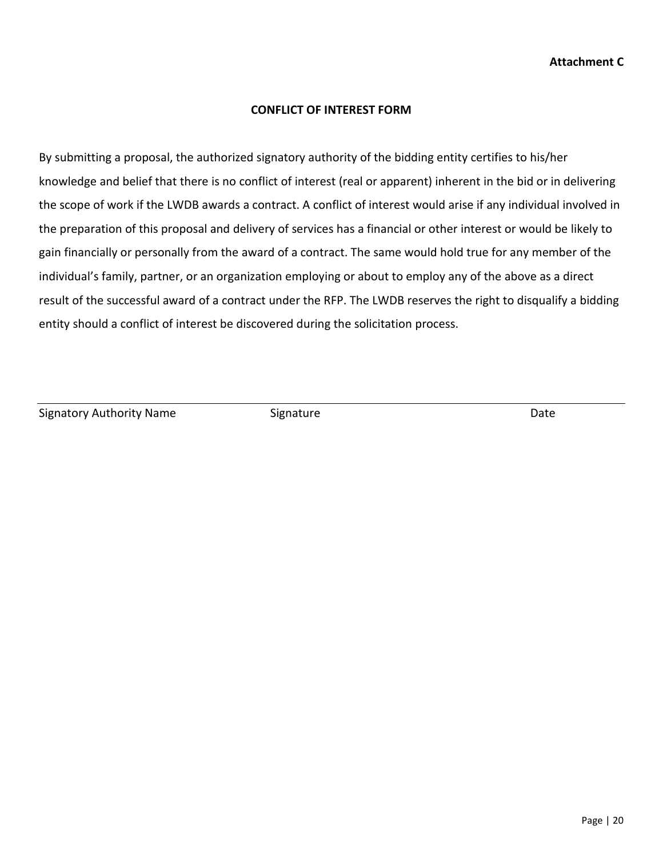#### **CONFLICT OF INTEREST FORM**

By submitting a proposal, the authorized signatory authority of the bidding entity certifies to his/her knowledge and belief that there is no conflict of interest (real or apparent) inherent in the bid or in delivering the scope of work if the LWDB awards a contract. A conflict of interest would arise if any individual involved in the preparation of this proposal and delivery of services has a financial or other interest or would be likely to gain financially or personally from the award of a contract. The same would hold true for any member of the individual's family, partner, or an organization employing or about to employ any of the above as a direct result of the successful award of a contract under the RFP. The LWDB reserves the right to disqualify a bidding entity should a conflict of interest be discovered during the solicitation process.

Signatory Authority Name Signature Signature Date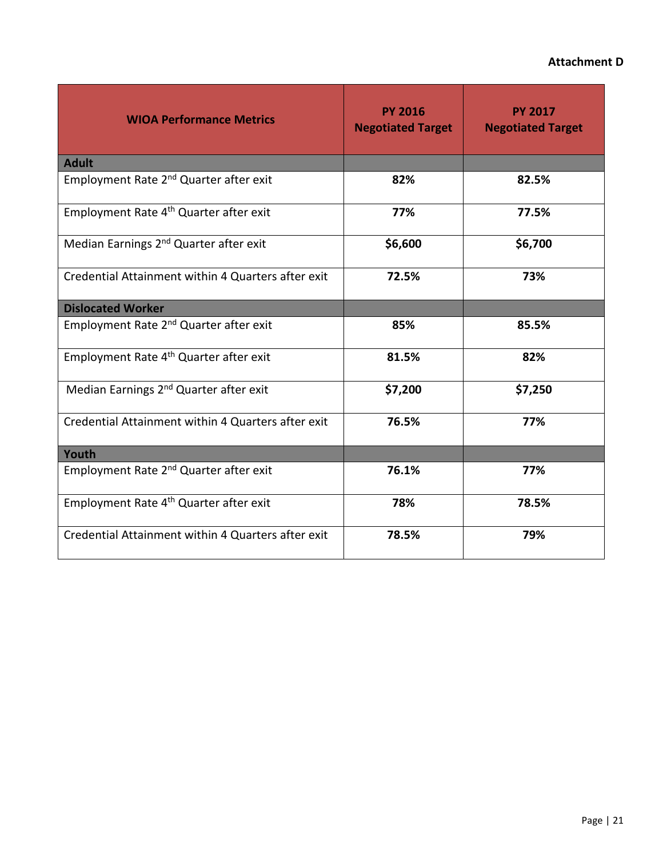#### **Attachment D**

| <b>WIOA Performance Metrics</b>                    | <b>PY 2016</b><br><b>Negotiated Target</b> | <b>PY 2017</b><br><b>Negotiated Target</b> |
|----------------------------------------------------|--------------------------------------------|--------------------------------------------|
| <b>Adult</b>                                       |                                            |                                            |
| Employment Rate 2 <sup>nd</sup> Quarter after exit | 82%                                        | 82.5%                                      |
| Employment Rate 4 <sup>th</sup> Quarter after exit | 77%                                        | 77.5%                                      |
| Median Earnings 2 <sup>nd</sup> Quarter after exit | \$6,600                                    | \$6,700                                    |
| Credential Attainment within 4 Quarters after exit | 72.5%                                      | 73%                                        |
| <b>Dislocated Worker</b>                           |                                            |                                            |
| Employment Rate 2 <sup>nd</sup> Quarter after exit | 85%                                        | 85.5%                                      |
| Employment Rate 4 <sup>th</sup> Quarter after exit | 81.5%                                      | 82%                                        |
| Median Earnings 2 <sup>nd</sup> Quarter after exit | \$7,200                                    | \$7,250                                    |
| Credential Attainment within 4 Quarters after exit | 76.5%                                      | 77%                                        |
| Youth                                              |                                            |                                            |
| Employment Rate 2 <sup>nd</sup> Quarter after exit | 76.1%                                      | 77%                                        |
| Employment Rate 4 <sup>th</sup> Quarter after exit | 78%                                        | 78.5%                                      |
| Credential Attainment within 4 Quarters after exit | 78.5%                                      | 79%                                        |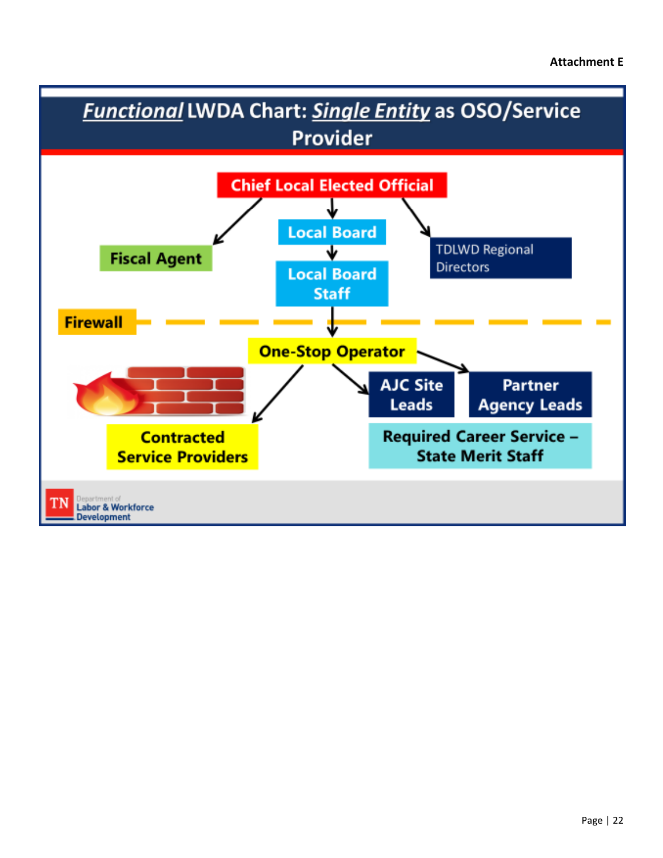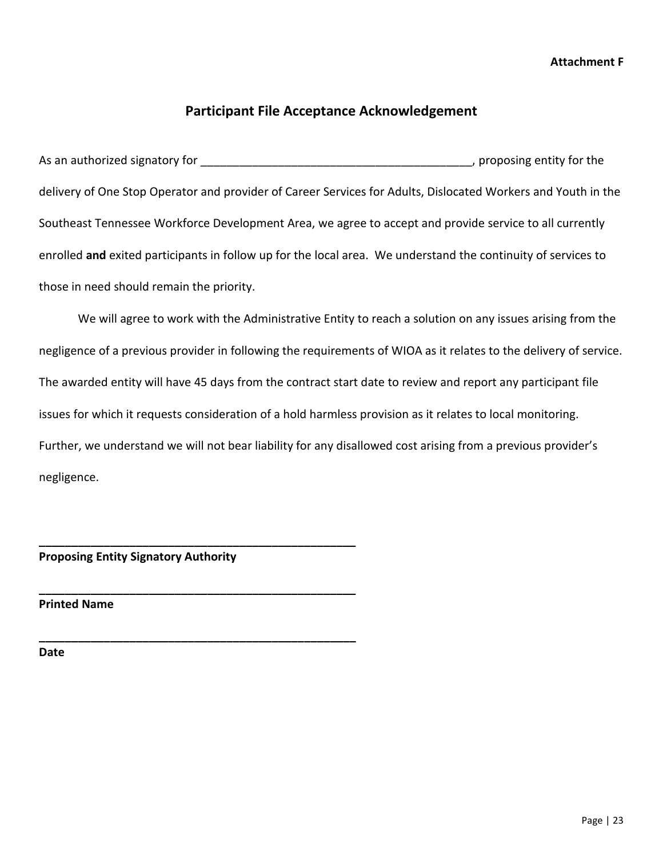#### **Attachment F**

## **Participant File Acceptance Acknowledgement**

As an authorized signatory for \_\_\_\_\_\_\_\_\_\_\_\_\_\_\_\_\_\_\_\_\_\_\_\_\_\_\_\_\_\_\_\_\_\_\_\_\_\_\_\_\_\_, proposing entity for the delivery of One Stop Operator and provider of Career Services for Adults, Dislocated Workers and Youth in the Southeast Tennessee Workforce Development Area, we agree to accept and provide service to all currently enrolled **and** exited participants in follow up for the local area. We understand the continuity of services to those in need should remain the priority.

We will agree to work with the Administrative Entity to reach a solution on any issues arising from the negligence of a previous provider in following the requirements of WIOA as it relates to the delivery of service. The awarded entity will have 45 days from the contract start date to review and report any participant file issues for which it requests consideration of a hold harmless provision as it relates to local monitoring. Further, we understand we will not bear liability for any disallowed cost arising from a previous provider's negligence.

#### **Proposing Entity Signatory Authority**

**\_\_\_\_\_\_\_\_\_\_\_\_\_\_\_\_\_\_\_\_\_\_\_\_\_\_\_\_\_\_\_\_\_\_\_\_\_\_\_\_\_\_\_\_\_\_\_\_\_**

**\_\_\_\_\_\_\_\_\_\_\_\_\_\_\_\_\_\_\_\_\_\_\_\_\_\_\_\_\_\_\_\_\_\_\_\_\_\_\_\_\_\_\_\_\_\_\_\_\_**

**\_\_\_\_\_\_\_\_\_\_\_\_\_\_\_\_\_\_\_\_\_\_\_\_\_\_\_\_\_\_\_\_\_\_\_\_\_\_\_\_\_\_\_\_\_\_\_\_\_**

**Printed Name**

**Date**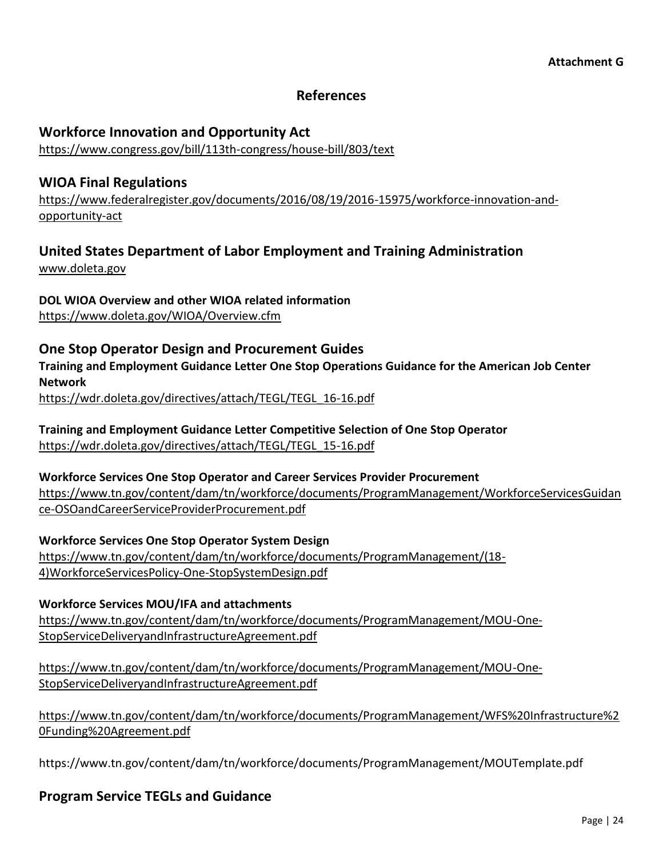### **References**

#### **Workforce Innovation and Opportunity Act**

<https://www.congress.gov/bill/113th-congress/house-bill/803/text>

### **WIOA Final Regulations**

[https://www.federalregister.gov/documents/2016/08/19/2016-15975/workforce-innovation-and](https://www.federalregister.gov/documents/2016/08/19/2016-15975/workforce-innovation-and-opportunity-act)[opportunity-act](https://www.federalregister.gov/documents/2016/08/19/2016-15975/workforce-innovation-and-opportunity-act)

## **United States Department of Labor Employment and Training Administration**

[www.doleta.gov](http://www.doleta.gov/)

**DOL WIOA Overview and other WIOA related information** <https://www.doleta.gov/WIOA/Overview.cfm>

### **One Stop Operator Design and Procurement Guides**

**Training and Employment Guidance Letter One Stop Operations Guidance for the American Job Center Network**

[https://wdr.doleta.gov/directives/attach/TEGL/TEGL\\_16-16.pdf](https://wdr.doleta.gov/directives/attach/TEGL/TEGL_16-16.pdf)

**Training and Employment Guidance Letter Competitive Selection of One Stop Operator** [https://wdr.doleta.gov/directives/attach/TEGL/TEGL\\_15-16.pdf](https://wdr.doleta.gov/directives/attach/TEGL/TEGL_15-16.pdf)

**Workforce Services One Stop Operator and Career Services Provider Procurement** [https://www.tn.gov/content/dam/tn/workforce/documents/ProgramManagement/WorkforceServicesGuidan](https://www.tn.gov/content/dam/tn/workforce/documents/ProgramManagement/WorkforceServicesGuidance-OSOandCareerServiceProviderProcurement.pdf) [ce-OSOandCareerServiceProviderProcurement.pdf](https://www.tn.gov/content/dam/tn/workforce/documents/ProgramManagement/WorkforceServicesGuidance-OSOandCareerServiceProviderProcurement.pdf)

**Workforce Services One Stop Operator System Design** [https://www.tn.gov/content/dam/tn/workforce/documents/ProgramManagement/\(18-](https://www.tn.gov/content/dam/tn/workforce/documents/ProgramManagement/(18-4)WorkforceServicesPolicy-One-StopSystemDesign.pdf) [4\)WorkforceServicesPolicy-One-StopSystemDesign.pdf](https://www.tn.gov/content/dam/tn/workforce/documents/ProgramManagement/(18-4)WorkforceServicesPolicy-One-StopSystemDesign.pdf)

**Workforce Services MOU/IFA and attachments** [https://www.tn.gov/content/dam/tn/workforce/documents/ProgramManagement/MOU-One-](https://www.tn.gov/content/dam/tn/workforce/documents/ProgramManagement/MOU-One-StopServiceDeliveryandInfrastructureAgreement.pdf)[StopServiceDeliveryandInfrastructureAgreement.pdf](https://www.tn.gov/content/dam/tn/workforce/documents/ProgramManagement/MOU-One-StopServiceDeliveryandInfrastructureAgreement.pdf)

[https://www.tn.gov/content/dam/tn/workforce/documents/ProgramManagement/MOU-One-](https://www.tn.gov/content/dam/tn/workforce/documents/ProgramManagement/MOU-One-StopServiceDeliveryandInfrastructureAgreement.pdf)[StopServiceDeliveryandInfrastructureAgreement.pdf](https://www.tn.gov/content/dam/tn/workforce/documents/ProgramManagement/MOU-One-StopServiceDeliveryandInfrastructureAgreement.pdf)

[https://www.tn.gov/content/dam/tn/workforce/documents/ProgramManagement/WFS%20Infrastructure%2](https://www.tn.gov/content/dam/tn/workforce/documents/ProgramManagement/WFS%20Infrastructure%20Funding%20Agreement.pdf) [0Funding%20Agreement.pdf](https://www.tn.gov/content/dam/tn/workforce/documents/ProgramManagement/WFS%20Infrastructure%20Funding%20Agreement.pdf)

https://www.tn.gov/content/dam/tn/workforce/documents/ProgramManagement/MOUTemplate.pdf

**Program Service TEGLs and Guidance**